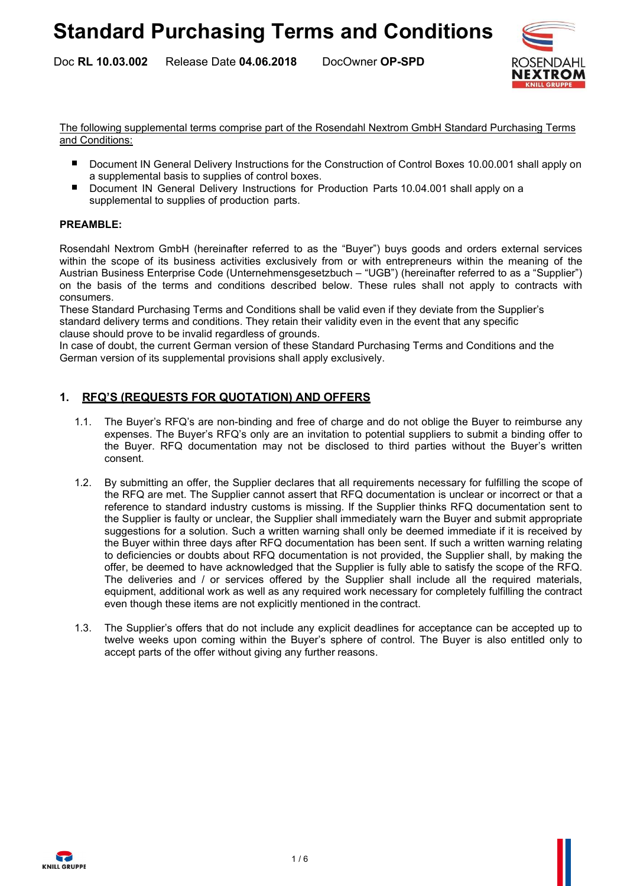Release Date 04.06.2018 DocOwner OP-SPD Doc RL 10.03.002



The following supplemental terms comprise part of the Rosendahl Nextrom GmbH Standard Purchasing Terms and Conditions:

- Document IN General Delivery Instructions for the Construction of Control Boxes 10.00.001 shall apply on a supplemental basis to supplies of control boxes.
- Document IN General Delivery Instructions for Production Parts 10.04.001 shall apply on a supplemental to supplies of production parts.

#### PREAMBLE:

Rosendahl Nextrom GmbH (hereinafter referred to as the "Buyer") buys goods and orders external services within the scope of its business activities exclusively from or with entrepreneurs within the meaning of the Austrian Business Enterprise Code (Unternehmensgesetzbuch – "UGB") (hereinafter referred to as a "Supplier") on the basis of the terms and conditions described below. These rules shall not apply to contracts with consumers.

These Standard Purchasing Terms and Conditions shall be valid even if they deviate from the Supplier's standard delivery terms and conditions. They retain their validity even in the event that any specific clause should prove to be invalid regardless of grounds.

In case of doubt, the current German version of these Standard Purchasing Terms and Conditions and the German version of its supplemental provisions shall apply exclusively.

#### 1. RFQ'S (REQUESTS FOR QUOTATION) AND OFFERS

- 1.1. The Buyer's RFQ's are non-binding and free of charge and do not oblige the Buyer to reimburse any expenses. The Buyer's RFQ's only are an invitation to potential suppliers to submit a binding offer to the Buyer. RFQ documentation may not be disclosed to third parties without the Buyer's written consent.
- 1.2. By submitting an offer, the Supplier declares that all requirements necessary for fulfilling the scope of the RFQ are met. The Supplier cannot assert that RFQ documentation is unclear or incorrect or that a reference to standard industry customs is missing. If the Supplier thinks RFQ documentation sent to the Supplier is faulty or unclear, the Supplier shall immediately warn the Buyer and submit appropriate suggestions for a solution. Such a written warning shall only be deemed immediate if it is received by the Buyer within three days after RFQ documentation has been sent. If such a written warning relating to deficiencies or doubts about RFQ documentation is not provided, the Supplier shall, by making the offer, be deemed to have acknowledged that the Supplier is fully able to satisfy the scope of the RFQ. The deliveries and / or services offered by the Supplier shall include all the required materials, equipment, additional work as well as any required work necessary for completely fulfilling the contract even though these items are not explicitly mentioned in the contract.
- 1.3. The Supplier's offers that do not include any explicit deadlines for acceptance can be accepted up to twelve weeks upon coming within the Buyer's sphere of control. The Buyer is also entitled only to accept parts of the offer without giving any further reasons.

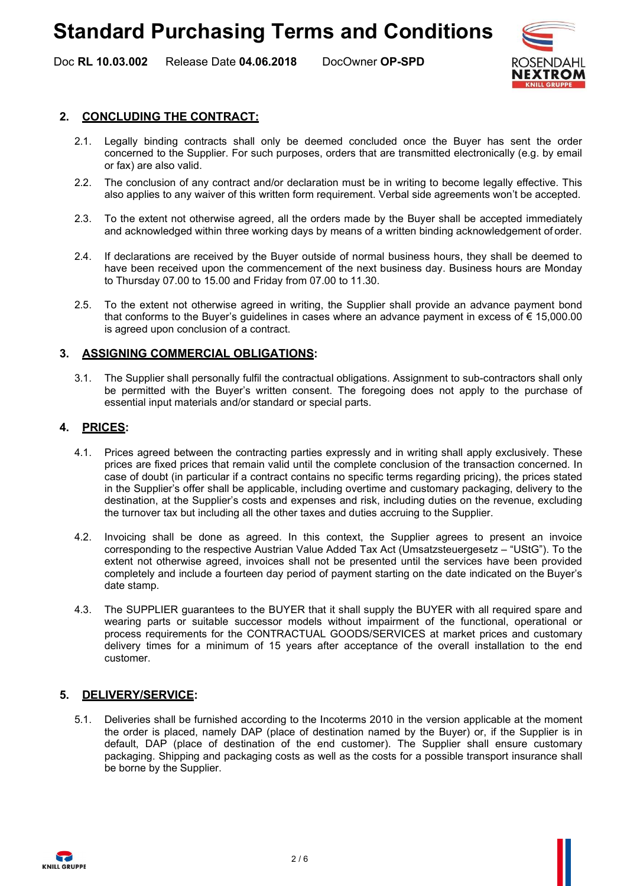# Standard Purchasing Terms and Conditions

Release Date 04.06.2018 DocOwner OP-SPD Doc RL 10.03.002



## 2. CONCLUDING THE CONTRACT:

- 2.1. Legally binding contracts shall only be deemed concluded once the Buyer has sent the order concerned to the Supplier. For such purposes, orders that are transmitted electronically (e.g. by email or fax) are also valid.
- 2.2. The conclusion of any contract and/or declaration must be in writing to become legally effective. This also applies to any waiver of this written form requirement. Verbal side agreements won't be accepted.
- 2.3. To the extent not otherwise agreed, all the orders made by the Buyer shall be accepted immediately and acknowledged within three working days by means of a written binding acknowledgement of order.
- 2.4. If declarations are received by the Buyer outside of normal business hours, they shall be deemed to have been received upon the commencement of the next business day. Business hours are Monday to Thursday 07.00 to 15.00 and Friday from 07.00 to 11.30.
- 2.5. To the extent not otherwise agreed in writing, the Supplier shall provide an advance payment bond that conforms to the Buyer's guidelines in cases where an advance payment in excess of  $\epsilon$  15,000.00 is agreed upon conclusion of a contract.

#### 3. ASSIGNING COMMERCIAL OBLIGATIONS:

3.1. The Supplier shall personally fulfil the contractual obligations. Assignment to sub-contractors shall only be permitted with the Buyer's written consent. The foregoing does not apply to the purchase of essential input materials and/or standard or special parts.

#### 4. PRICES:

- 4.1. Prices agreed between the contracting parties expressly and in writing shall apply exclusively. These prices are fixed prices that remain valid until the complete conclusion of the transaction concerned. In case of doubt (in particular if a contract contains no specific terms regarding pricing), the prices stated in the Supplier's offer shall be applicable, including overtime and customary packaging, delivery to the destination, at the Supplier's costs and expenses and risk, including duties on the revenue, excluding the turnover tax but including all the other taxes and duties accruing to the Supplier.
- 4.2. Invoicing shall be done as agreed. In this context, the Supplier agrees to present an invoice corresponding to the respective Austrian Value Added Tax Act (Umsatzsteuergesetz – "UStG"). To the extent not otherwise agreed, invoices shall not be presented until the services have been provided completely and include a fourteen day period of payment starting on the date indicated on the Buyer's date stamp.
- 4.3. The SUPPLIER guarantees to the BUYER that it shall supply the BUYER with all required spare and wearing parts or suitable successor models without impairment of the functional, operational or process requirements for the CONTRACTUAL GOODS/SERVICES at market prices and customary delivery times for a minimum of 15 years after acceptance of the overall installation to the end customer.

## 5. DELIVERY/SERVICE:

5.1. Deliveries shall be furnished according to the Incoterms 2010 in the version applicable at the moment the order is placed, namely DAP (place of destination named by the Buyer) or, if the Supplier is in default, DAP (place of destination of the end customer). The Supplier shall ensure customary packaging. Shipping and packaging costs as well as the costs for a possible transport insurance shall be borne by the Supplier.

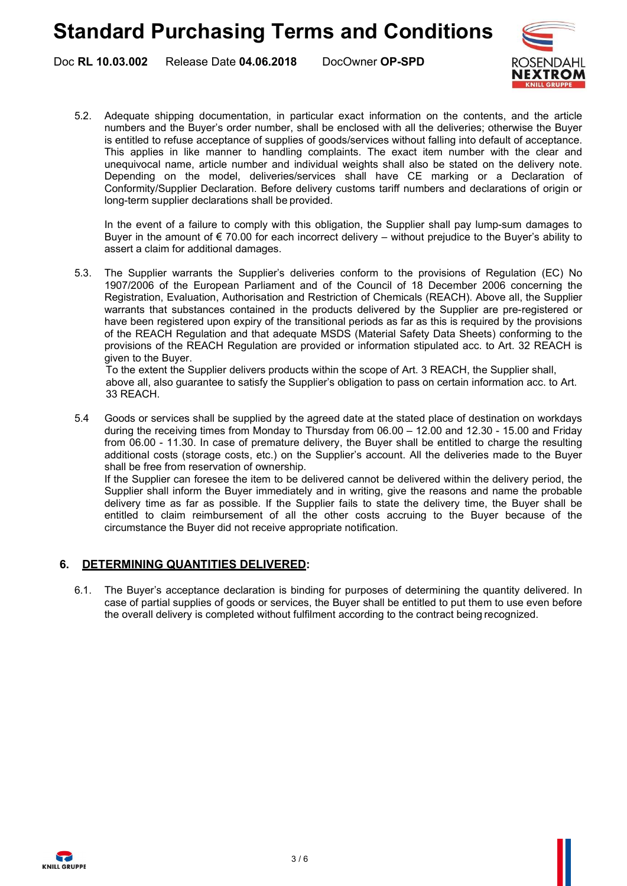Release Date 04.06.2018 DocOwner OP-SPD Doc RL 10.03.002



5.2. Adequate shipping documentation, in particular exact information on the contents, and the article numbers and the Buyer's order number, shall be enclosed with all the deliveries; otherwise the Buyer is entitled to refuse acceptance of supplies of goods/services without falling into default of acceptance. This applies in like manner to handling complaints. The exact item number with the clear and unequivocal name, article number and individual weights shall also be stated on the delivery note. Depending on the model, deliveries/services shall have CE marking or a Declaration of Conformity/Supplier Declaration. Before delivery customs tariff numbers and declarations of origin or long-term supplier declarations shall be provided.

In the event of a failure to comply with this obligation, the Supplier shall pay lump-sum damages to Buyer in the amount of  $\epsilon$  70.00 for each incorrect delivery – without prejudice to the Buyer's ability to assert a claim for additional damages.

5.3. The Supplier warrants the Supplier's deliveries conform to the provisions of Regulation (EC) No 1907/2006 of the European Parliament and of the Council of 18 December 2006 concerning the Registration, Evaluation, Authorisation and Restriction of Chemicals (REACH). Above all, the Supplier warrants that substances contained in the products delivered by the Supplier are pre-registered or have been registered upon expiry of the transitional periods as far as this is required by the provisions of the REACH Regulation and that adequate MSDS (Material Safety Data Sheets) conforming to the provisions of the REACH Regulation are provided or information stipulated acc. to Art. 32 REACH is given to the Buyer.

To the extent the Supplier delivers products within the scope of Art. 3 REACH, the Supplier shall, above all, also guarantee to satisfy the Supplier's obligation to pass on certain information acc. to Art. 33 REACH.

5.4 Goods or services shall be supplied by the agreed date at the stated place of destination on workdays during the receiving times from Monday to Thursday from 06.00 – 12.00 and 12.30 - 15.00 and Friday from 06.00 - 11.30. In case of premature delivery, the Buyer shall be entitled to charge the resulting additional costs (storage costs, etc.) on the Supplier's account. All the deliveries made to the Buyer shall be free from reservation of ownership.

If the Supplier can foresee the item to be delivered cannot be delivered within the delivery period, the Supplier shall inform the Buyer immediately and in writing, give the reasons and name the probable delivery time as far as possible. If the Supplier fails to state the delivery time, the Buyer shall be entitled to claim reimbursement of all the other costs accruing to the Buyer because of the circumstance the Buyer did not receive appropriate notification.

## 6. DETERMINING QUANTITIES DELIVERED:

6.1. The Buyer's acceptance declaration is binding for purposes of determining the quantity delivered. In case of partial supplies of goods or services, the Buyer shall be entitled to put them to use even before the overall delivery is completed without fulfilment according to the contract being recognized.

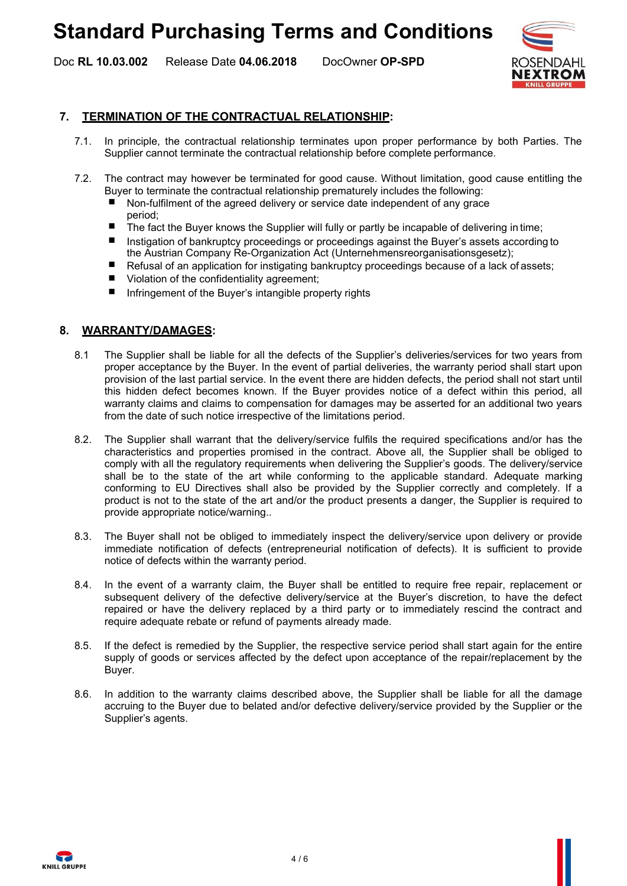# Standard Purchasing Terms and Conditions

Release Date 04.06.2018 DocOwner OP-SPD Doc RL 10.03.002



### 7. TERMINATION OF THE CONTRACTUAL RELATIONSHIP:

- 7.1. In principle, the contractual relationship terminates upon proper performance by both Parties. The Supplier cannot terminate the contractual relationship before complete performance.
- 7.2. The contract may however be terminated for good cause. Without limitation, good cause entitling the Buyer to terminate the contractual relationship prematurely includes the following:
	- Non-fulfilment of the agreed delivery or service date independent of any grace period;
	- The fact the Buyer knows the Supplier will fully or partly be incapable of delivering in time;
	- Instigation of bankruptcy proceedings or proceedings against the Buyer's assets according to the Austrian Company Re-Organization Act (Unternehmensreorganisationsgesetz);
	- Refusal of an application for instigating bankruptcy proceedings because of a lack of assets;
	- Violation of the confidentiality agreement;
	- Infringement of the Buyer's intangible property rights

#### 8. WARRANTY/DAMAGES:

- 8.1 The Supplier shall be liable for all the defects of the Supplier's deliveries/services for two years from proper acceptance by the Buyer. In the event of partial deliveries, the warranty period shall start upon provision of the last partial service. In the event there are hidden defects, the period shall not start until this hidden defect becomes known. If the Buyer provides notice of a defect within this period, all warranty claims and claims to compensation for damages may be asserted for an additional two years from the date of such notice irrespective of the limitations period.
- 8.2. The Supplier shall warrant that the delivery/service fulfils the required specifications and/or has the characteristics and properties promised in the contract. Above all, the Supplier shall be obliged to comply with all the regulatory requirements when delivering the Supplier's goods. The delivery/service shall be to the state of the art while conforming to the applicable standard. Adequate marking conforming to EU Directives shall also be provided by the Supplier correctly and completely. If a product is not to the state of the art and/or the product presents a danger, the Supplier is required to provide appropriate notice/warning..
- 8.3. The Buyer shall not be obliged to immediately inspect the delivery/service upon delivery or provide immediate notification of defects (entrepreneurial notification of defects). It is sufficient to provide notice of defects within the warranty period.
- 8.4. In the event of a warranty claim, the Buyer shall be entitled to require free repair, replacement or subsequent delivery of the defective delivery/service at the Buyer's discretion, to have the defect repaired or have the delivery replaced by a third party or to immediately rescind the contract and require adequate rebate or refund of payments already made.
- 8.5. If the defect is remedied by the Supplier, the respective service period shall start again for the entire supply of goods or services affected by the defect upon acceptance of the repair/replacement by the Buyer.
- 8.6. In addition to the warranty claims described above, the Supplier shall be liable for all the damage accruing to the Buyer due to belated and/or defective delivery/service provided by the Supplier or the Supplier's agents.

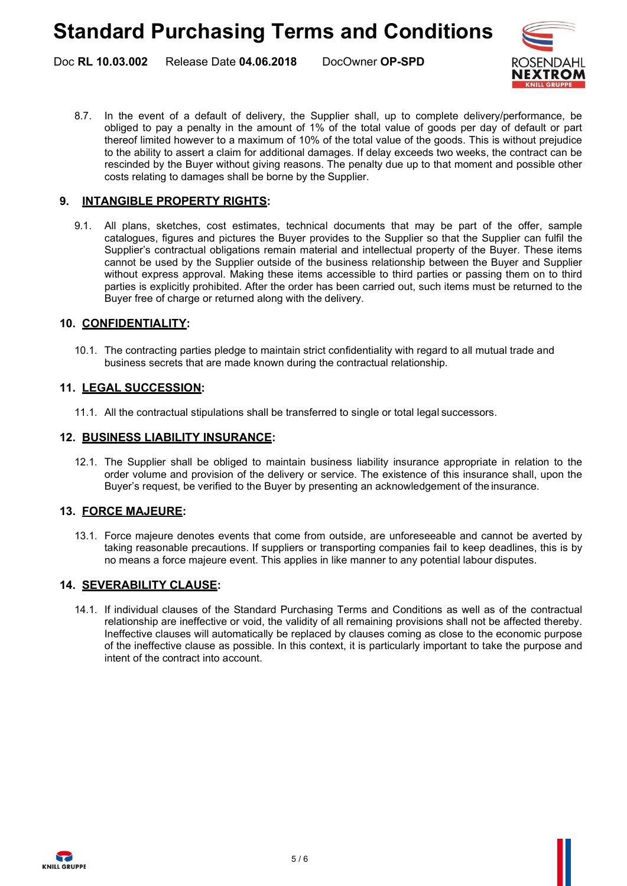Release Date 04.06.2018 DocOwner OP-SPD Doc RL 10.03.002



8.7. In the event of a default of delivery, the Supplier shall, up to complete delivery/performance, be obliged to pay a penalty in the amount of 1% of the total value of goods per day of default or part thereof limited however to a maximum of 10% of the total value of the goods. This is without prejudice to the ability to assert a claim for additional damages. If delay exceeds two weeks, the contract can be rescinded by the Buyer without giving reasons. The penalty due up to that moment and possible other costs relating to damages shall be borne by the Supplier.

# 9. INTANGIBLE PROPERTY RIGHTS:

9.1. All plans, sketches, cost estimates, technical documents that may be part of the offer, sample catalogues, figures and pictures the Buyer provides to the Supplier so that the Supplier can fulfil the Supplier's contractual obligations remain material and intellectual property of the Buyer. These items cannot be used by the Supplier outside of the business relationship between the Buyer and Supplier without express approval. Making these items accessible to third parties or passing them on to third parties is explicitly prohibited. After the order has been carried out, such items must be returned to the Buyer free of charge or returned along with the delivery.

# 10. CONFIDENTIALITY:

10.1. The contracting parties pledge to maintain strict confidentiality with regard to all mutual trade and business secrets that are made known during the contractual relationship.

## 11. LEGAL SUCCESSION:

11.1. All the contractual stipulations shall be transferred to single or total legal successors.

#### 12. BUSINESS LIABILITY INSURANCE:

12.1. The Supplier shall be obliged to maintain business liability insurance appropriate in relation to the order volume and provision of the delivery or service. The existence of this insurance shall, upon the Buyer's request, be verified to the Buyer by presenting an acknowledgement of the insurance.

## 13. FORCE MAJEURE:

13.1. Force majeure denotes events that come from outside, are unforeseeable and cannot be averted by taking reasonable precautions. If suppliers or transporting companies fail to keep deadlines, this is by no means a force majeure event. This applies in like manner to any potential labour disputes.

## 14. SEVERABILITY CLAUSE:

14.1. If individual clauses of the Standard Purchasing Terms and Conditions as well as of the contractual relationship are ineffective or void, the validity of all remaining provisions shall not be affected thereby. Ineffective clauses will automatically be replaced by clauses coming as close to the economic purpose of the ineffective clause as possible. In this context, it is particularly important to take the purpose and intent of the contract into account.